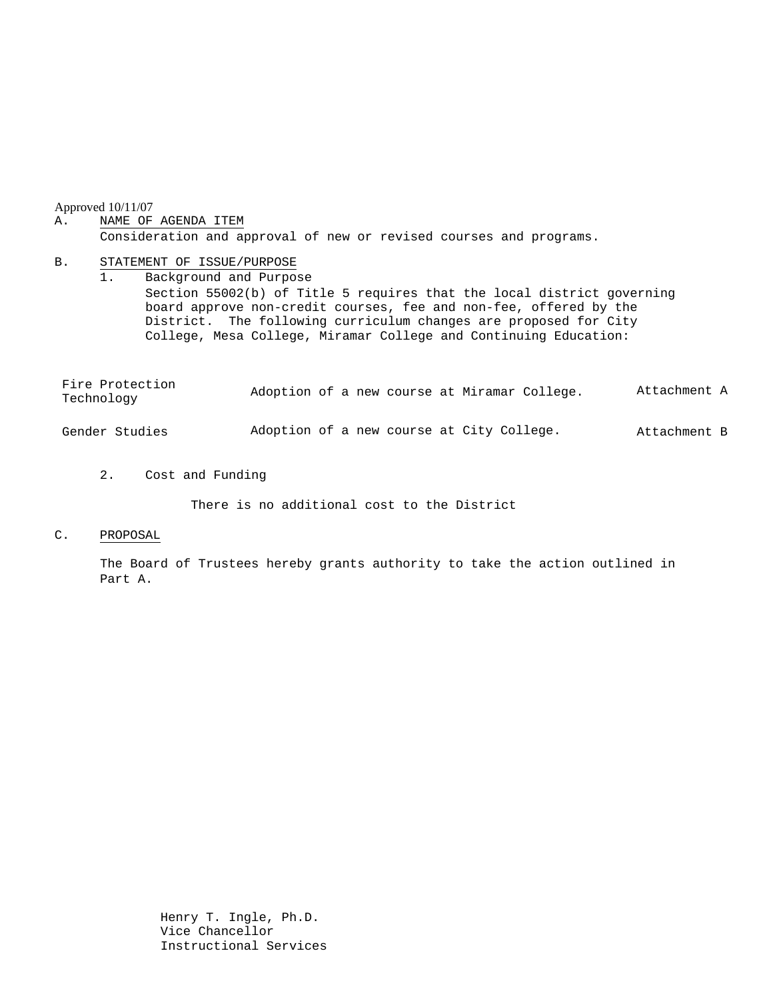Approved 10/11/07

## A. NAME OF AGENDA ITEM

Consideration and approval of new or revised courses and programs.

#### B. STATEMENT OF ISSUE/PURPOSE

1. Background and Purpose Section 55002(b) of Title 5 requires that the local district governing board approve non-credit courses, fee and non-fee, offered by the District. The following curriculum changes are proposed for City College, Mesa College, Miramar College and Continuing Education:

| Fire Protection<br>Technology |  |  | Adoption of a new course at Miramar College. | Attachment A |
|-------------------------------|--|--|----------------------------------------------|--------------|
| Gender Studies                |  |  | Adoption of a new course at City College.    | Attachment B |

2. Cost and Funding

There is no additional cost to the District

### C. PROPOSAL

The Board of Trustees hereby grants authority to take the action outlined in Part A.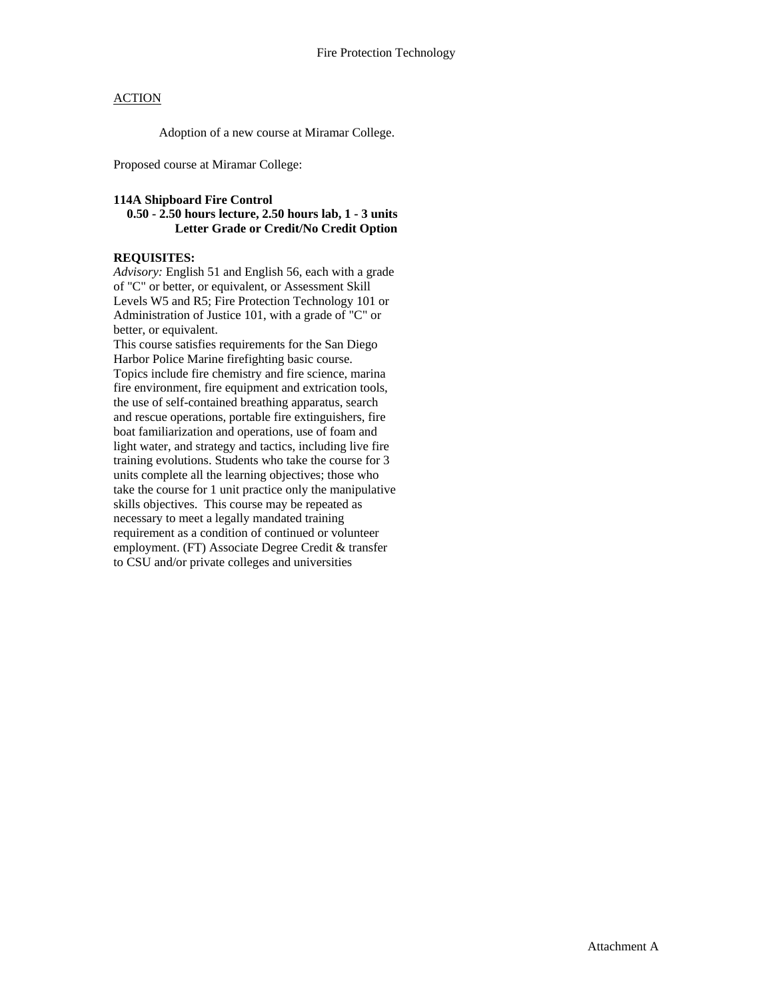## **ACTION**

Adoption of a new course at Miramar College.

Proposed course at Miramar College:

### **114A Shipboard Fire Control**

## **0.50 - 2.50 hours lecture, 2.50 hours lab, 1 - 3 units Letter Grade or Credit/No Credit Option**

# **REQUISITES:**

*Advisory:* English 51 and English 56, each with a grade of "C" or better, or equivalent, or Assessment Skill Levels W5 and R5; Fire Protection Technology 101 or Administration of Justice 101, with a grade of "C" or better, or equivalent.

This course satisfies requirements for the San Diego Harbor Police Marine firefighting basic course. Topics include fire chemistry and fire science, marina fire environment, fire equipment and extrication tools, the use of self-contained breathing apparatus, search and rescue operations, portable fire extinguishers, fire boat familiarization and operations, use of foam and light water, and strategy and tactics, including live fire training evolutions. Students who take the course for 3 units complete all the learning objectives; those who take the course for 1 unit practice only the manipulative skills objectives. This course may be repeated as necessary to meet a legally mandated training requirement as a condition of continued or volunteer employment. (FT) Associate Degree Credit & transfer to CSU and/or private colleges and universities